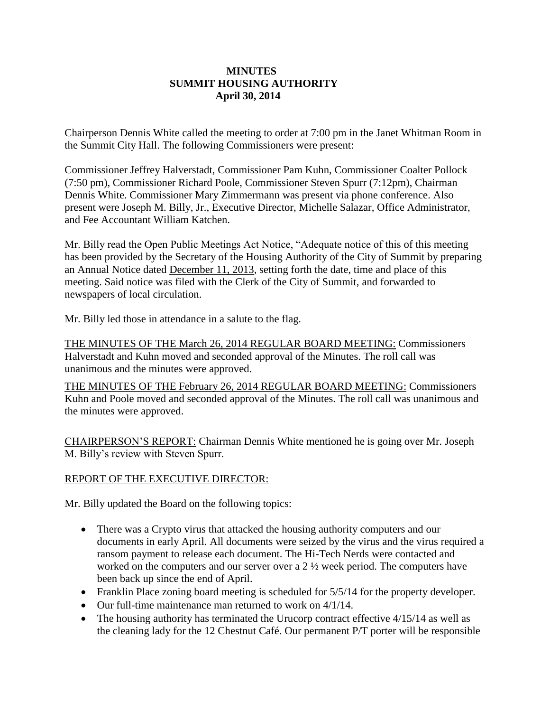## **MINUTES SUMMIT HOUSING AUTHORITY April 30, 2014**

Chairperson Dennis White called the meeting to order at 7:00 pm in the Janet Whitman Room in the Summit City Hall. The following Commissioners were present:

Commissioner Jeffrey Halverstadt, Commissioner Pam Kuhn, Commissioner Coalter Pollock (7:50 pm), Commissioner Richard Poole, Commissioner Steven Spurr (7:12pm), Chairman Dennis White. Commissioner Mary Zimmermann was present via phone conference. Also present were Joseph M. Billy, Jr., Executive Director, Michelle Salazar, Office Administrator, and Fee Accountant William Katchen.

Mr. Billy read the Open Public Meetings Act Notice, "Adequate notice of this of this meeting has been provided by the Secretary of the Housing Authority of the City of Summit by preparing an Annual Notice dated December 11, 2013, setting forth the date, time and place of this meeting. Said notice was filed with the Clerk of the City of Summit, and forwarded to newspapers of local circulation.

Mr. Billy led those in attendance in a salute to the flag.

THE MINUTES OF THE March 26, 2014 REGULAR BOARD MEETING: Commissioners Halverstadt and Kuhn moved and seconded approval of the Minutes. The roll call was unanimous and the minutes were approved.

THE MINUTES OF THE February 26, 2014 REGULAR BOARD MEETING: Commissioners Kuhn and Poole moved and seconded approval of the Minutes. The roll call was unanimous and the minutes were approved.

CHAIRPERSON'S REPORT: Chairman Dennis White mentioned he is going over Mr. Joseph M. Billy's review with Steven Spurr.

## REPORT OF THE EXECUTIVE DIRECTOR:

Mr. Billy updated the Board on the following topics:

- There was a Crypto virus that attacked the housing authority computers and our documents in early April. All documents were seized by the virus and the virus required a ransom payment to release each document. The Hi-Tech Nerds were contacted and worked on the computers and our server over a 2 ½ week period. The computers have been back up since the end of April.
- Franklin Place zoning board meeting is scheduled for  $5/5/14$  for the property developer.
- Our full-time maintenance man returned to work on 4/1/14.
- $\bullet$  The housing authority has terminated the Urucorp contract effective 4/15/14 as well as the cleaning lady for the 12 Chestnut Café. Our permanent P/T porter will be responsible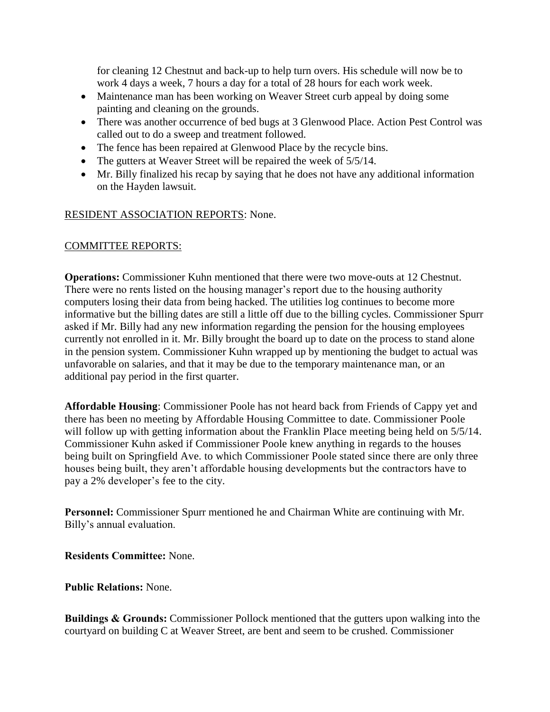for cleaning 12 Chestnut and back-up to help turn overs. His schedule will now be to work 4 days a week, 7 hours a day for a total of 28 hours for each work week.

- Maintenance man has been working on Weaver Street curb appeal by doing some painting and cleaning on the grounds.
- There was another occurrence of bed bugs at 3 Glenwood Place. Action Pest Control was called out to do a sweep and treatment followed.
- The fence has been repaired at Glenwood Place by the recycle bins.
- The gutters at Weaver Street will be repaired the week of  $5/5/14$ .
- Mr. Billy finalized his recap by saying that he does not have any additional information on the Hayden lawsuit.

## RESIDENT ASSOCIATION REPORTS: None.

## COMMITTEE REPORTS:

**Operations:** Commissioner Kuhn mentioned that there were two move-outs at 12 Chestnut. There were no rents listed on the housing manager's report due to the housing authority computers losing their data from being hacked. The utilities log continues to become more informative but the billing dates are still a little off due to the billing cycles. Commissioner Spurr asked if Mr. Billy had any new information regarding the pension for the housing employees currently not enrolled in it. Mr. Billy brought the board up to date on the process to stand alone in the pension system. Commissioner Kuhn wrapped up by mentioning the budget to actual was unfavorable on salaries, and that it may be due to the temporary maintenance man, or an additional pay period in the first quarter.

**Affordable Housing**: Commissioner Poole has not heard back from Friends of Cappy yet and there has been no meeting by Affordable Housing Committee to date. Commissioner Poole will follow up with getting information about the Franklin Place meeting being held on  $5/5/14$ . Commissioner Kuhn asked if Commissioner Poole knew anything in regards to the houses being built on Springfield Ave. to which Commissioner Poole stated since there are only three houses being built, they aren't affordable housing developments but the contractors have to pay a 2% developer's fee to the city.

**Personnel:** Commissioner Spurr mentioned he and Chairman White are continuing with Mr. Billy's annual evaluation.

**Residents Committee:** None.

**Public Relations:** None.

**Buildings & Grounds:** Commissioner Pollock mentioned that the gutters upon walking into the courtyard on building C at Weaver Street, are bent and seem to be crushed. Commissioner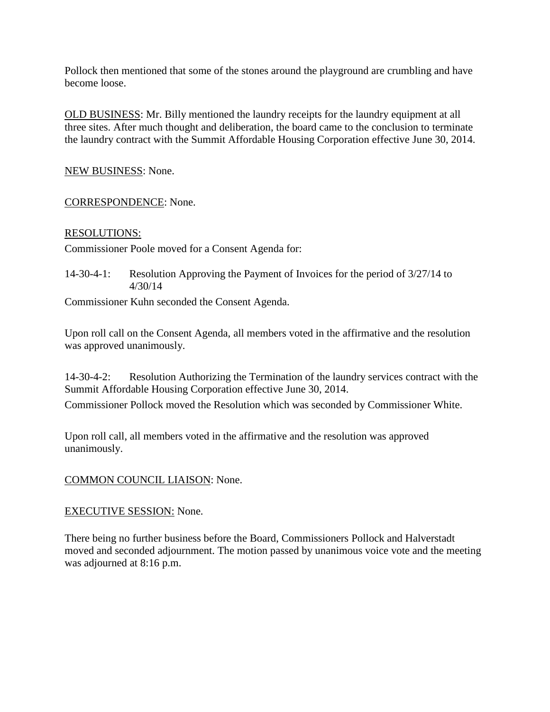Pollock then mentioned that some of the stones around the playground are crumbling and have become loose.

OLD BUSINESS: Mr. Billy mentioned the laundry receipts for the laundry equipment at all three sites. After much thought and deliberation, the board came to the conclusion to terminate the laundry contract with the Summit Affordable Housing Corporation effective June 30, 2014.

NEW BUSINESS: None.

CORRESPONDENCE: None.

#### RESOLUTIONS:

Commissioner Poole moved for a Consent Agenda for:

14-30-4-1: Resolution Approving the Payment of Invoices for the period of 3/27/14 to 4/30/14

Commissioner Kuhn seconded the Consent Agenda.

Upon roll call on the Consent Agenda, all members voted in the affirmative and the resolution was approved unanimously.

14-30-4-2: Resolution Authorizing the Termination of the laundry services contract with the Summit Affordable Housing Corporation effective June 30, 2014.

Commissioner Pollock moved the Resolution which was seconded by Commissioner White.

Upon roll call, all members voted in the affirmative and the resolution was approved unanimously.

## COMMON COUNCIL LIAISON: None.

#### EXECUTIVE SESSION: None.

There being no further business before the Board, Commissioners Pollock and Halverstadt moved and seconded adjournment. The motion passed by unanimous voice vote and the meeting was adjourned at 8:16 p.m.